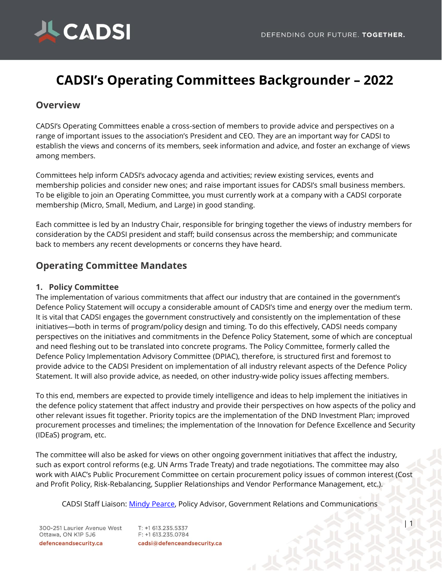

# **CADSI's Operating Committees Backgrounder – 2022**

### **Overview**

CADSI's Operating Committees enable a cross-section of members to provide advice and perspectives on a range of important issues to the association's President and CEO. They are an important way for CADSI to establish the views and concerns of its members, seek information and advice, and foster an exchange of views among members.

Committees help inform CADSI's advocacy agenda and activities; review existing services, events and membership policies and consider new ones; and raise important issues for CADSI's small business members. To be eligible to join an Operating Committee, you must currently work at a company with a CADSI corporate membership (Micro, Small, Medium, and Large) in good standing.

Each committee is led by an Industry Chair, responsible for bringing together the views of industry members for consideration by the CADSI president and staff; build consensus across the membership; and communicate back to members any recent developments or concerns they have heard.

## **Operating Committee Mandates**

#### **1. Policy Committee**

The implementation of various commitments that affect our industry that are contained in the government's Defence Policy Statement will occupy a considerable amount of CADSI's time and energy over the medium term. It is vital that CADSI engages the government constructively and consistently on the implementation of these initiatives—both in terms of program/policy design and timing. To do this effectively, CADSI needs company perspectives on the initiatives and commitments in the Defence Policy Statement, some of which are conceptual and need fleshing out to be translated into concrete programs. The Policy Committee, formerly called the Defence Policy Implementation Advisory Committee (DPIAC), therefore, is structured first and foremost to provide advice to the CADSI President on implementation of all industry relevant aspects of the Defence Policy Statement. It will also provide advice, as needed, on other industry-wide policy issues affecting members.

To this end, members are expected to provide timely intelligence and ideas to help implement the initiatives in the defence policy statement that affect industry and provide their perspectives on how aspects of the policy and other relevant issues fit together. Priority topics are the implementation of the DND Investment Plan; improved procurement processes and timelines; the implementation of the Innovation for Defence Excellence and Security (IDEaS) program, etc.

The committee will also be asked for views on other ongoing government initiatives that affect the industry, such as export control reforms (e.g. UN Arms Trade Treaty) and trade negotiations. The committee may also work with AIAC's Public Procurement Committee on certain procurement policy issues of common interest (Cost and Profit Policy, Risk-Rebalancing, Supplier Relationships and Vendor Performance Management, etc.).

CADSI Staff Liaison: [Mindy Pearce,](mailto:mindy@defenceandsecurity.ca) Policy Advisor, Government Relations and Communications

300-251 Laurier Avenue West Ottawa, ON K1P 5J6 defenceandsecurity.ca

T: +1 613.235.5337 F: +1 613.235.0784 cadsi@defenceandsecurity.ca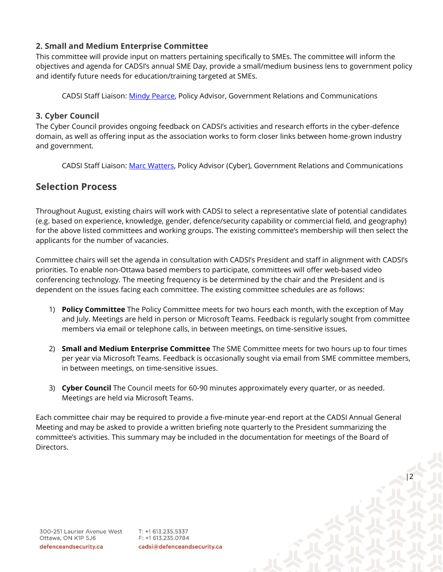#### **2. Small and Medium Enterprise Committee**

This committee will provide input on matters pertaining specifically to SMEs. The committee will inform the objectives and agenda for CADSI's annual SME Day, provide a small/medium business lens to government policy and identify future needs for education/training targeted at SMEs.

CADSI Staff Liaison: [Mindy Pearce,](mailto:mindy@defenceandsecurity.ca) Policy Advisor, Government Relations and Communications

#### **3. Cyber Council**

The Cyber Council provides ongoing feedback on CADSI's activities and research efforts in the cyber-defence domain, as well as offering input as the association works to form closer links between home-grown industry and government.

CADSI Staff Liaison: [Marc Watters,](mailto:marc@defenceandsecurity.ca) Policy Advisor (Cyber), Government Relations and Communications

## **Selection Process**

Throughout August, existing chairs will work with CADSI to select a representative slate of potential candidates (e.g. based on experience, knowledge, gender, defence/security capability or commercial field, and geography) for the above listed committees and working groups. The existing committee's membership will then select the applicants for the number of vacancies.

Committee chairs will set the agenda in consultation with CADSI's President and staff in alignment with CADSI's priorities. To enable non-Ottawa based members to participate, committees will offer web-based video conferencing technology. The meeting frequency is be determined by the chair and the President and is dependent on the issues facing each committee. The existing committee schedules are as follows:

- 1) **Policy Committee** The Policy Committee meets for two hours each month, with the exception of May and July. Meetings are held in person or Microsoft Teams. Feedback is regularly sought from committee members via email or telephone calls, in between meetings, on time-sensitive issues.
- 2) **Small and Medium Enterprise Committee** The SME Committee meets for two hours up to four times per year via Microsoft Teams. Feedback is occasionally sought via email from SME committee members, in between meetings, on time-sensitive issues.
- 3) **Cyber Council** The Council meets for 60-90 minutes approximately every quarter, or as needed. Meetings are held via Microsoft Teams.

Each committee chair may be required to provide a five-minute year-end report at the CADSI Annual General Meeting and may be asked to provide a written briefing note quarterly to the President summarizing the committee's activities. This summary may be included in the documentation for meetings of the Board of Directors.

T: +1 613.235.5337 F: +1 613.235.0784 cadsi@defenceandsecurity.ca